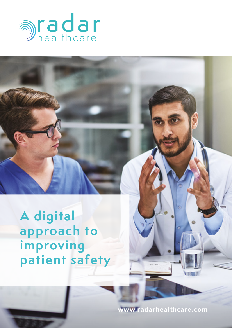

**A digital approach to improving patient safety**

www.radarhealthcare.com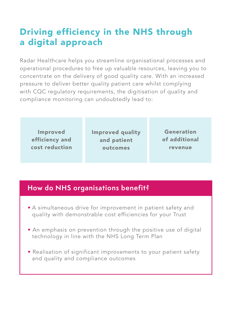# Driving efficiency in the NHS through a digital approach

Radar Healthcare helps you streamline organisational processes and operational procedures to free up valuable resources, leaving you to concentrate on the delivery of good quality care. With an increased pressure to deliver better quality patient care whilst complying with CQC regulatory requirements, the digitisation of quality and compliance monitoring can undoubtedly lead to:

Improved efficiency and cost reduction Improved quality and patient outcomes

Generation of additional revenue

# **How do NHS organisations benefit?**

- A simultaneous drive for improvement in patient safety and quality with demonstrable cost efficiencies for your Trust
- An emphasis on prevention through the positive use of digital technology in line with the NHS Long Term Plan
- Realisation of significant improvements to your patient safety and quality and compliance outcomes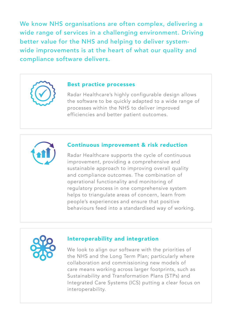We know NHS organisations are often complex, delivering a wide range of services in a challenging environment. Driving better value for the NHS and helping to deliver systemwide improvements is at the heart of what our quality and compliance software delivers.

#### Best practice processes

Radar Healthcare's highly configurable design allows the software to be quickly adapted to a wide range of processes within the NHS to deliver improved efficiencies and better patient outcomes.



#### Continuous improvement & risk reduction

Radar Healthcare supports the cycle of continuous improvement, providing a comprehensive and sustainable approach to improving overall quality and compliance outcomes. The combination of operational functionality and monitoring of regulatory process in one comprehensive system helps to triangulate areas of concern, learn from people's experiences and ensure that positive behaviours feed into a standardised way of working.



#### Interoperability and integration

We look to align our software with the priorities of the NHS and the Long Term Plan; particularly where collaboration and commissioning new models of care means working across larger footprints, such as Sustainability and Transformation Plans (STPs) and Integrated Care Systems (ICS) putting a clear focus on interoperability.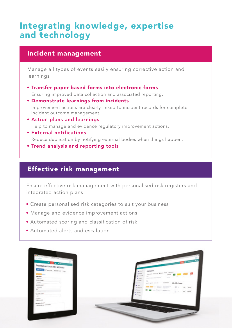# Integrating knowledge, expertise and technology

## Incident management

Manage all types of events easily ensuring corrective action and learnings

- Transfer paper-based forms into electronic forms Ensuring improved data collection and associated reporting.
- Demonstrate learnings from incidents Improvement actions are clearly linked to incident records for complete incident outcome management.
- Action plans and learnings Help to manage and evidence regulatory improvement actions.
- External notifications Reduce duplication by notifying external bodies when things happen.
- Trend analysis and reporting tools

## Effective risk management

Ensure effective risk management with personalised risk registers and integrated action plans

- Create personalised risk categories to suit your business
- Manage and evidence improvement actions
- Automated scoring and classification of risk
- Automated alerts and escalation

| <b>DEL TOY</b>                                                                                                                                                                                                                 | <b>The Company of Company</b>                                                                                                                                                                                                                                                                                                                                                                                                              |
|--------------------------------------------------------------------------------------------------------------------------------------------------------------------------------------------------------------------------------|--------------------------------------------------------------------------------------------------------------------------------------------------------------------------------------------------------------------------------------------------------------------------------------------------------------------------------------------------------------------------------------------------------------------------------------------|
| Medication Emor (HC) WED 003                                                                                                                                                                                                   |                                                                                                                                                                                                                                                                                                                                                                                                                                            |
| <b>COLORED PROPERTY STATES</b>                                                                                                                                                                                                 | pa agent<br>a suit                                                                                                                                                                                                                                                                                                                                                                                                                         |
|                                                                                                                                                                                                                                | Front Ford Boys and Garden<br><b>LE AND</b>                                                                                                                                                                                                                                                                                                                                                                                                |
| <b>Samuel</b>                                                                                                                                                                                                                  | 1. (b) successive<br>Text.<br>$\sim$<br>new College                                                                                                                                                                                                                                                                                                                                                                                        |
| <b>Television</b>                                                                                                                                                                                                              | THE R. P. LEWIS CO., LANSING, MICH.<br><b>B</b> ment                                                                                                                                                                                                                                                                                                                                                                                       |
| <b>DOM: NON-</b><br>constructs.                                                                                                                                                                                                | <b>B</b> social<br>$\sim$                                                                                                                                                                                                                                                                                                                                                                                                                  |
|                                                                                                                                                                                                                                | $25.25$ has<br>1 W Ads<br>gain gam ster to<br>specimen                                                                                                                                                                                                                                                                                                                                                                                     |
| <b>Mod'llowed</b><br><b>Artist All Av</b>                                                                                                                                                                                      | <b>William</b><br>$\frac{1}{2} \frac{1}{2} \frac{1}{2} \frac{1}{2} \frac{1}{2} \frac{1}{2} \frac{1}{2} \frac{1}{2} \frac{1}{2} \frac{1}{2} \frac{1}{2} \frac{1}{2} \frac{1}{2} \frac{1}{2} \frac{1}{2} \frac{1}{2} \frac{1}{2} \frac{1}{2} \frac{1}{2} \frac{1}{2} \frac{1}{2} \frac{1}{2} \frac{1}{2} \frac{1}{2} \frac{1}{2} \frac{1}{2} \frac{1}{2} \frac{1}{2} \frac{1}{2} \frac{1}{2} \frac{1}{2} \frac{$<br>$25 -$<br><b>Service</b> |
| e en la construcción de la construcción de la construcción de la construcción de la construcción de la construcción de la construcción de la construcción de la construcción de la construcción de la construcción de la const | <b>E month</b>                                                                                                                                                                                                                                                                                                                                                                                                                             |
| <b>Exchange for the control</b>                                                                                                                                                                                                | <b>B B</b> + Start sections<br>A loose<br>$\frac{1}{2}$ $\frac{1}{2}$<br>$\equiv$<br><b>Broad</b><br><b>Williams</b>                                                                                                                                                                                                                                                                                                                       |
| <b>Special Avenue</b> 1                                                                                                                                                                                                        | <b>Course</b>                                                                                                                                                                                                                                                                                                                                                                                                                              |
| $_{\rm{min}}$                                                                                                                                                                                                                  |                                                                                                                                                                                                                                                                                                                                                                                                                                            |
| creative.<br><b>AGENTS</b>                                                                                                                                                                                                     |                                                                                                                                                                                                                                                                                                                                                                                                                                            |
| <b>Designation</b>                                                                                                                                                                                                             |                                                                                                                                                                                                                                                                                                                                                                                                                                            |
| <b>Designations experience</b>                                                                                                                                                                                                 |                                                                                                                                                                                                                                                                                                                                                                                                                                            |
|                                                                                                                                                                                                                                |                                                                                                                                                                                                                                                                                                                                                                                                                                            |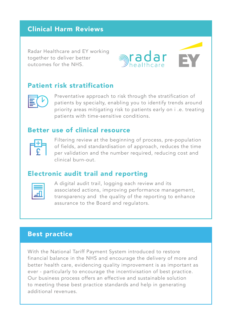# Clinical Harm Reviews

Radar Healthcare and EY working together to deliver better outcomes for the NHS.



## Patient risk stratification



Preventative approach to risk through the stratification of patients by specialty, enabling you to identify trends around priority areas mitigating risk to patients early on i .e. treating patients with time-sensitive conditions.

## Better use of clinical resource



Filtering review at the beginning of process, pre-population of fields, and standardisation of approach, reduces the time per validation and the number required, reducing cost and clinical burn-out.

## Electronic audit trail and reporting

A digital audit trail, logging each review and its associated actions, improving performance management, transparency and the quality of the reporting to enhance assurance to the Board and regulators.

# Best practice

With the National Tariff Payment System introduced to restore financial balance in the NHS and encourage the delivery of more and better health care, evidencing quality improvement is as important as ever - particularly to encourage the incentivisation of best practice. Our business process offers an effective and sustainable solution to meeting these best practice standards and help in generating additional revenues.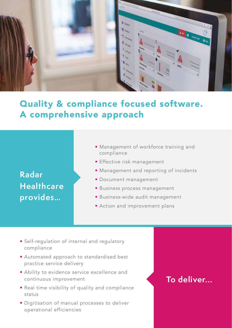

# Quality & compliance focused software. A comprehensive approach

# **Radar Healthcare provides…**

- Management of workforce training and compliance
- Effective risk management
- Management and reporting of incidents
- Document management
- Business process management
- Business-wide audit management
- Action and improvement plans
- Self-regulation of internal and regulatory compliance
- Automated approach to standardised best practice service delivery
- Ability to evidence service excellence and continuous improvement
- Real time visibility of quality and compliance status
- Digitisation of manual processes to deliver operational efficiencies

# **To deliver...**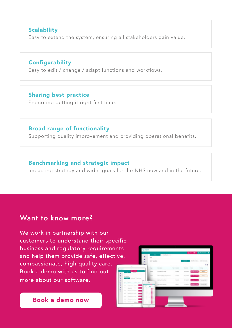### **Scalability**

Easy to extend the system, ensuring all stakeholders gain value.

#### **Configurability**

Easy to edit / change / adapt functions and workflows.

### Sharing best practice

Promoting getting it right first time.

### Broad range of functionality

Supporting quality improvement and providing operational benefits.

#### Benchmarking and strategic impact

Impacting strategy and wider goals for the NHS now and in the future.

# **Want to know more?**

We work in partnership with our customers to understand their specific business and regulatory requirements and help them provide safe, effective, compassionate, high-quality care. Book a demo with us to find out more about our software.



Book a demo now